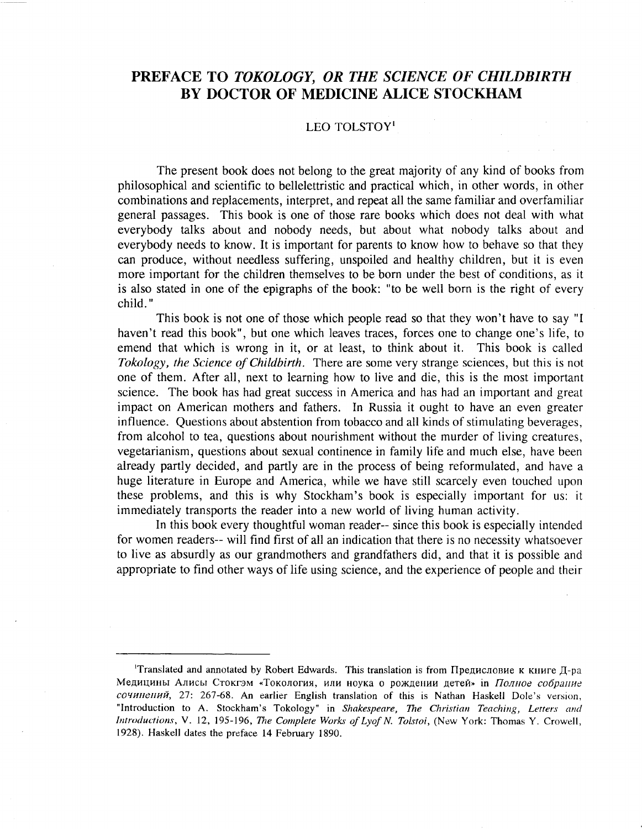## PREFACE TO *TOKOLOGY, OR THE* BY DOCTOR OF MEDICINE

## LEO TOLSTOY·

The present book does not belong to the great majority of any kind of books from philosophical and scientific to bellelettristic and practical which, in other words, in other combinations and replacements, interpret, and repeat all the same familiar and overfamiliar general passages. This book is one of those rare books which does not deal with what everybody talks about and nobody needs, but about what nobody talks about and everybody needs to know. It is important for parents to know how to behave so that they can produce, without needless suffering, unspoiled and healthy children, but it is even more important for the children themselves to be born under the best of conditions, as it is also stated in one of the epigraphs of the book: "to be well born is the right of every child. "

This book is not one of those which people read so that they won't have to say "I haven't read this book", but one which leaves traces, forces one to change one's life, to emend that which is wrong in it, or at least, to think about it. This book is called *Tokology, the Science of Childbirth.* There are some very strange sciences, but this is not one of them. After all, next to learning how to live and die, this is the most important science. The book has had great success in America and has had an important and great impact on American mothers and fathers. In Russia it ought to have an even greater influence. Questions about abstention from tobacco and all kinds of stimulating beverages, from alcohol to tea, questions about nourishment without the murder of living creatures, vegetarianism, questions about sexual continence in family life and much else, have been already partly decided, and partly are in the process of being reformulated, and have a huge literature in Europe and America, while we have still scarcely even touched upon these problems, and this is why Stockham's book is especially important for us: it immediately transports the reader into a new world of living human activity.

In this book every thoughtful woman reader-- since this book is especially intended for women readers-- will find first of all an indication that there is no necessity whatsoever to live as absurdly as our grandmothers and grandfathers did, and that it is possible and appropriate to find other ways of life using science, and the experience of people and their

<sup>&</sup>lt;sup>1</sup>Translated and annotated by Robert Edwards. This translation is from Предисловие к книге Д-ра Медицины Алисы Стокгэм «Токология, или ноука о рождении детей» in Полное собрание  $co$  COЧИПЕНИЙ, 27: 267-68. An earlier English translation of this is Nathan Haskell Dole's version, "Introduction to A. Stockham's Tokology" in *Shakespeare,* The *Christian Teaching, Letters and Introductions,* V. 12, 195-196, The *COfnplete Works ofLyof N. ToIstoi*, (New York: Thomas Y. Crowell, 1928). Haskell dates the preface 14 February 1890.